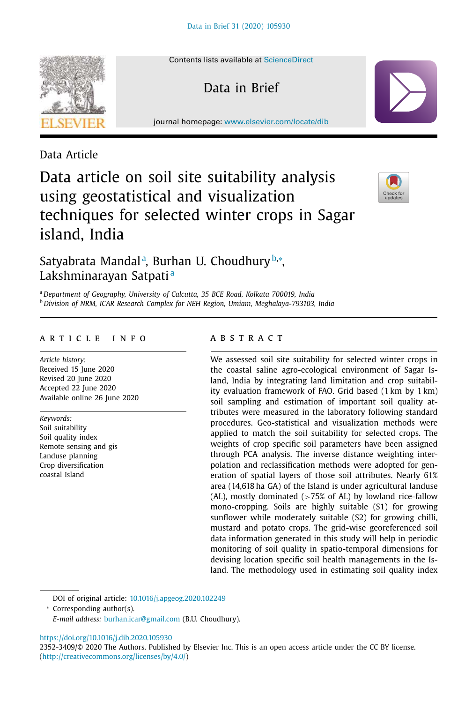Contents lists available at ScienceDirect

Data in Brief

journal homepage: www.elsevier.com/locate/dib

Data Article

# Data article on soil site suitability analysis using geostatistical and visualization techniques for selected winter crops in Sagar island, India



# Satyabrata Mandalª, Burhan U. Choudhury<sup>b,</sup>\*, Lakshminarayan Satpati<sup>a</sup>

<sup>a</sup> *Department of Geography, University of Calcutta, 35 BCE Road, Kolkata 700019, India* <sup>b</sup> *Division of NRM, ICAR Research Complex for NEH Region, Umiam, Meghalaya-793103, India*

#### a r t i c l e i n f o

*Article history:* Received 15 June 2020 Revised 20 June 2020 Accepted 22 June 2020 Available online 26 June 2020

*Keywords:* Soil suitability Soil quality index Remote sensing and gis Landuse planning Crop diversification coastal Island

### a b s t r a c t

We assessed soil site suitability for selected winter crops in the coastal saline agro-ecological environment of Sagar Island, India by integrating land limitation and crop suitability evaluation framework of FAO. Grid based (1 km by 1 km) soil sampling and estimation of important soil quality attributes were measured in the laboratory following standard procedures. Geo-statistical and visualization methods were applied to match the soil suitability for selected crops. The weights of crop specific soil parameters have been assigned through PCA analysis. The inverse distance weighting interpolation and reclassification methods were adopted for generation of spatial layers of those soil attributes. Nearly 61% area (14,618 ha GA) of the Island is under agricultural landuse (AL), mostly dominated  $(>75\%$  of AL) by lowland rice-fallow mono-cropping. Soils are highly suitable (S1) for growing sunflower while moderately suitable (S2) for growing chilli, mustard and potato crops. The grid-wise georeferenced soil data information generated in this study will help in periodic monitoring of soil quality in spatio-temporal dimensions for devising location specific soil health managements in the Island. The methodology used in estimating soil quality index

DOI of original article: 10.1016/j.apgeog.2020.102249

<sup>∗</sup> Corresponding author(s).

*E-mail address:* burhan.icar@gmail.com (B.U. Choudhury).

https://doi.org/10.1016/j.dib.2020.105930

2352-3409/© 2020 The Authors. Published by Elsevier Inc. This is an open access article under the CC BY license. (http://creativecommons.org/licenses/by/4.0/)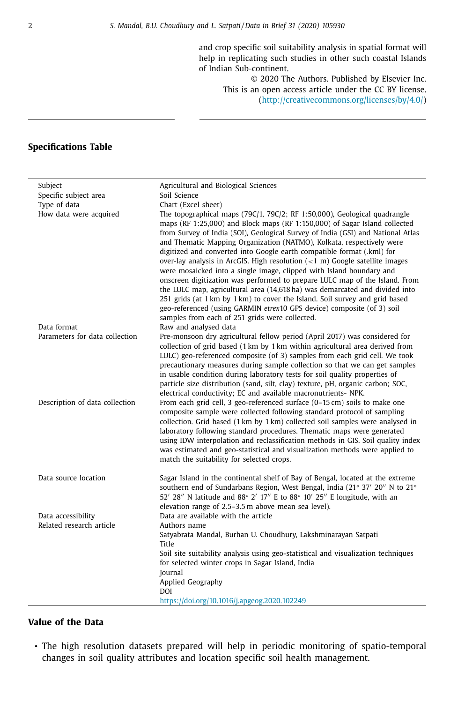and crop specific soil suitability analysis in spatial format will help in replicating such studies in other such coastal Islands of Indian Sub-continent.

© 2020 The Authors. Published by Elsevier Inc. This is an open access article under the CC BY license. (http://creativecommons.org/licenses/by/4.0/)

# **Specifications Table**

| Subject                               | Agricultural and Biological Sciences                                                                                                                                                                                                                                                                                                                                                                                                                                                                                                                                                                                                                                                                                                                                                                                                                                                                                        |
|---------------------------------------|-----------------------------------------------------------------------------------------------------------------------------------------------------------------------------------------------------------------------------------------------------------------------------------------------------------------------------------------------------------------------------------------------------------------------------------------------------------------------------------------------------------------------------------------------------------------------------------------------------------------------------------------------------------------------------------------------------------------------------------------------------------------------------------------------------------------------------------------------------------------------------------------------------------------------------|
| Specific subject area                 | Soil Science                                                                                                                                                                                                                                                                                                                                                                                                                                                                                                                                                                                                                                                                                                                                                                                                                                                                                                                |
| Type of data                          | Chart (Excel sheet)                                                                                                                                                                                                                                                                                                                                                                                                                                                                                                                                                                                                                                                                                                                                                                                                                                                                                                         |
| How data were acquired<br>Data format | The topographical maps (79C/1, 79C/2; RF 1:50,000), Geological quadrangle<br>maps (RF 1:25,000) and Block maps (RF 1:150,000) of Sagar Island collected<br>from Survey of India (SOI), Geological Survey of India (GSI) and National Atlas<br>and Thematic Mapping Organization (NATMO), Kolkata, respectively were<br>digitized and converted into Google earth compatible format (.kml) for<br>over-lay analysis in ArcGIS. High resolution $(1 m) Google satellite imageswere mosaicked into a single image, clipped with Island boundary andonscreen digitization was performed to prepare LULC map of the Island. Fromthe LULC map, agricultural area (14,618 ha) was demarcated and divided into251 grids (at 1 km by 1 km) to cover the Island. Soil survey and grid basedgeo-referenced (using GARMIN etrex10 GPS device) composite (of 3) soilsamples from each of 251 grids were collected.Raw and analysed data$ |
| Parameters for data collection        |                                                                                                                                                                                                                                                                                                                                                                                                                                                                                                                                                                                                                                                                                                                                                                                                                                                                                                                             |
|                                       | Pre-monsoon dry agricultural fellow period (April 2017) was considered for<br>collection of grid based (1 km by 1 km within agricultural area derived from<br>LULC) geo-referenced composite (of 3) samples from each grid cell. We took<br>precautionary measures during sample collection so that we can get samples<br>in usable condition during laboratory tests for soil quality properties of<br>particle size distribution (sand, silt, clay) texture, pH, organic carbon; SOC,<br>electrical conductivity; EC and available macronutrients- NPK.                                                                                                                                                                                                                                                                                                                                                                   |
| Description of data collection        | From each grid cell, 3 geo-referenced surface (0-15 cm) soils to make one<br>composite sample were collected following standard protocol of sampling<br>collection. Grid based (1 km by 1 km) collected soil samples were analysed in<br>laboratory following standard procedures. Thematic maps were generated<br>using IDW interpolation and reclassification methods in GIS. Soil quality index<br>was estimated and geo-statistical and visualization methods were applied to<br>match the suitability for selected crops.                                                                                                                                                                                                                                                                                                                                                                                              |
| Data source location                  | Sagar Island in the continental shelf of Bay of Bengal, located at the extreme<br>southern end of Sundarbans Region, West Bengal, India (21° 37' 20" N to 21°<br>52' 28" N latitude and 88° 2' 17" E to 88° 10' 25" E longitude, with an<br>elevation range of 2.5-3.5 m above mean sea level).                                                                                                                                                                                                                                                                                                                                                                                                                                                                                                                                                                                                                             |
| Data accessibility                    | Data are available with the article                                                                                                                                                                                                                                                                                                                                                                                                                                                                                                                                                                                                                                                                                                                                                                                                                                                                                         |
| Related research article              | Authors name                                                                                                                                                                                                                                                                                                                                                                                                                                                                                                                                                                                                                                                                                                                                                                                                                                                                                                                |
|                                       | Satyabrata Mandal, Burhan U. Choudhury, Lakshminarayan Satpati<br>Title                                                                                                                                                                                                                                                                                                                                                                                                                                                                                                                                                                                                                                                                                                                                                                                                                                                     |
|                                       | Soil site suitability analysis using geo-statistical and visualization techniques<br>for selected winter crops in Sagar Island, India                                                                                                                                                                                                                                                                                                                                                                                                                                                                                                                                                                                                                                                                                                                                                                                       |
|                                       | Journal                                                                                                                                                                                                                                                                                                                                                                                                                                                                                                                                                                                                                                                                                                                                                                                                                                                                                                                     |
|                                       | Applied Geography                                                                                                                                                                                                                                                                                                                                                                                                                                                                                                                                                                                                                                                                                                                                                                                                                                                                                                           |
|                                       | DOI                                                                                                                                                                                                                                                                                                                                                                                                                                                                                                                                                                                                                                                                                                                                                                                                                                                                                                                         |
|                                       | https://doi.org/10.1016/j.apgeog.2020.102249                                                                                                                                                                                                                                                                                                                                                                                                                                                                                                                                                                                                                                                                                                                                                                                                                                                                                |

## **Value of the Data**

 $\overline{\phantom{0}}$ 

• The high resolution datasets prepared will help in periodic monitoring of spatio-temporal changes in soil quality attributes and location specific soil health management.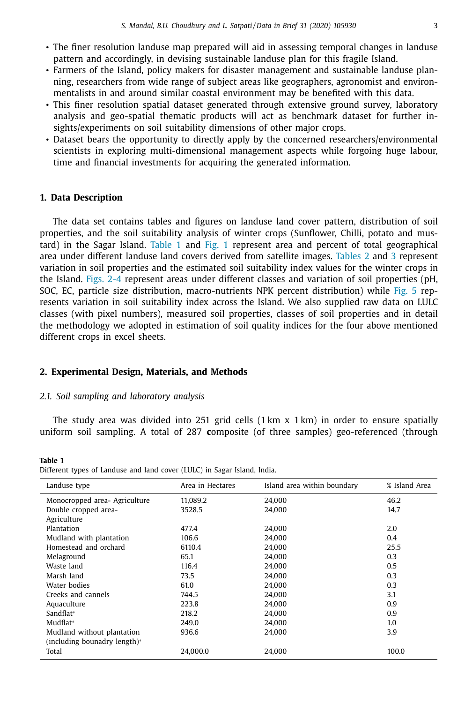- The finer resolution landuse map prepared will aid in assessing temporal changes in landuse pattern and accordingly, in devising sustainable landuse plan for this fragile Island.
- Farmers of the Island, policy makers for disaster management and sustainable landuse planning, researchers from wide range of subject areas like geographers, agronomist and environmentalists in and around similar coastal environment may be benefited with this data.
- This finer resolution spatial dataset generated through extensive ground survey, laboratory analysis and geo-spatial thematic products will act as benchmark dataset for further insights/experiments on soil suitability dimensions of other major crops.
- Dataset bears the opportunity to directly apply by the concerned researchers/environmental scientists in exploring multi-dimensional management aspects while forgoing huge labour, time and financial investments for acquiring the generated information.

#### **1. Data Description**

The data set contains tables and figures on landuse land cover pattern, distribution of soil properties, and the soil suitability analysis of winter crops (Sunflower, Chilli, potato and mustard) in the Sagar Island. Table 1 and Fig. 1 represent area and percent of total geographical area under different landuse land covers derived from satellite images. Tables 2 and 3 represent variation in soil properties and the estimated soil suitability index values for the winter crops in the Island. Figs. 2-4 represent areas under different classes and variation of soil properties (pH, SOC, EC, particle size distribution, macro-nutrients NPK percent distribution) while Fig. 5 represents variation in soil suitability index across the Island. We also supplied raw data on LULC classes (with pixel numbers), measured soil properties, classes of soil properties and in detail the methodology we adopted in estimation of soil quality indices for the four above mentioned different crops in excel sheets.

#### **2. Experimental Design, Materials, and Methods**

#### *2.1. Soil sampling and laboratory analysis*

The study area was divided into 251 grid cells  $(1 \text{ km } x \text{ 1 km})$  in order to ensure spatially uniform soil sampling. A total of 287 **c**omposite (of three samples) geo-referenced (through

**Table 1** Different types of Landuse and land cover (LULC) in Sagar Island, India.

| Landuse type                  | Area in Hectares | Island area within boundary | % Island Area |
|-------------------------------|------------------|-----------------------------|---------------|
| Monocropped area- Agriculture | 11.089.2         | 24.000                      | 46.2          |
| Double cropped area-          | 3528.5           | 24.000                      | 14.7          |
| Agriculture                   |                  |                             |               |
| Plantation                    | 477.4            | 24.000                      | 2.0           |
| Mudland with plantation       | 106.6            | 24.000                      | 0.4           |
| Homestead and orchard         | 6110.4           | 24.000                      | 25.5          |
| Melaground                    | 65.1             | 24.000                      | 0.3           |
| Waste land                    | 116.4            | 24.000                      | 0.5           |
| Marsh land                    | 73.5             | 24.000                      | 0.3           |
| Water bodies                  | 61.0             | 24.000                      | 0.3           |
| Creeks and cannels            | 744.5            | 24.000                      | 3.1           |
| Aquaculture                   | 223.8            | 24.000                      | 0.9           |
| Sandflat*                     | 218.2            | 24.000                      | 0.9           |
| Mudflat*                      | 249.0            | 24.000                      | 1.0           |
| Mudland without plantation    | 936.6            | 24.000                      | 3.9           |
| (including bounadry length)*  |                  |                             |               |
| Total                         | 24.000.0         | 24.000                      | 100.0         |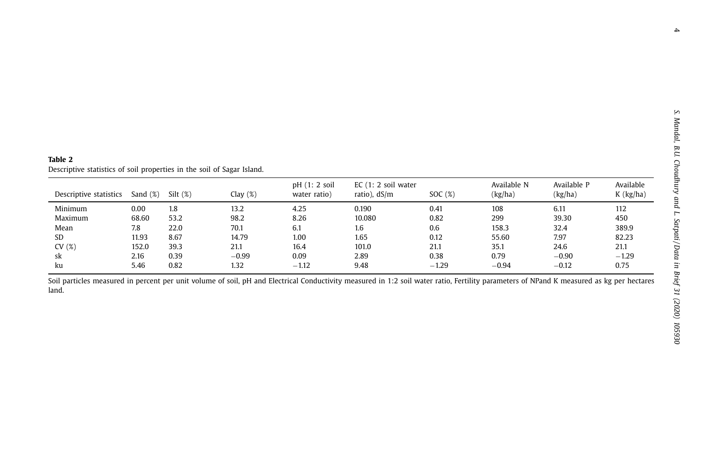| Table 2                                                                |
|------------------------------------------------------------------------|
| Descriptive statistics of soil properties in the soil of Sagar Island. |

| Descriptive statistics | Sand $(\%)$ | $Silt$ $(\%)$ | Clay $(\%)$ | $pH(1; 2)$ soil<br>water ratio) | $EC(1: 2)$ soil water<br>ratio), $dS/m$ | SOC $(%)$ | Available N<br>(kg/ha) | Available P<br>(kg/ha) | Available<br>$K$ (kg/ha) |
|------------------------|-------------|---------------|-------------|---------------------------------|-----------------------------------------|-----------|------------------------|------------------------|--------------------------|
| Minimum                | 0.00        | 1.8           | 13.2        | 4.25                            | 0.190                                   | 0.41      | 108                    | 6.11                   | 112                      |
| Maximum                | 68.60       | 53.2          | 98.2        | 8.26                            | 10.080                                  | 0.82      | 299                    | 39.30                  | 450                      |
| Mean                   | 7.8         | 22.0          | 70.1        | 6.1                             | 1.6                                     | 0.6       | 158.3                  | 32.4                   | 389.9                    |
| SD                     | 11.93       | 8.67          | 14.79       | 1.00                            | 1.65                                    | 0.12      | 55.60                  | 7.97                   | 82.23                    |
| CV(%)                  | 152.0       | 39.3          | 21.1        | 16.4                            | 101.0                                   | 21.1      | 35.1                   | 24.6                   | 21.1                     |
| sk                     | 2.16        | 0.39          | $-0.99$     | 0.09                            | 2.89                                    | 0.38      | 0.79                   | $-0.90$                | $-1.29$                  |
| ku                     | 5.46        | 0.82          | 1.32        | $-1.12$                         | 9.48                                    | $-1.29$   | $-0.94$                | $-0.12$                | 0.75                     |

Soil particles measured in percent per unit volume of soil, pH and Electrical Conductivity measured in 1:2 soil water ratio, Fertility parameters of NPand K measured as kg per hectares land.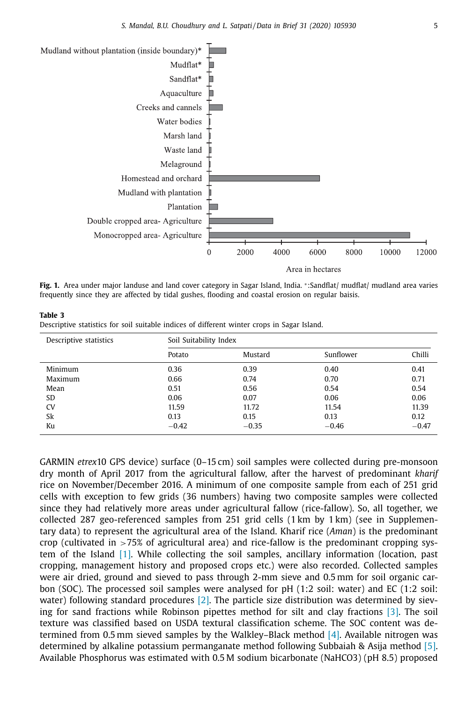

**Fig. 1.** Area under major landuse and land cover category in Sagar Island, India. <sup>∗</sup> :Sandflat/ mudflat/ mudland area varies frequently since they are affected by tidal gushes, flooding and coastal erosion on regular baisis.

| lable 3<br>Descriptive statistics for soil suitable indices of different winter crops in Sagar Island. |                        |         |                                       |
|--------------------------------------------------------------------------------------------------------|------------------------|---------|---------------------------------------|
| Descriptive statistics                                                                                 | Soil Suitability Index |         |                                       |
|                                                                                                        | $D - L - L -$          | $M = 1$ | $C_{\text{total}}$ $C_{\text{total}}$ |

**Table 3**

|           | Potato  | Mustard | Sunflower | Chilli  |
|-----------|---------|---------|-----------|---------|
| Minimum   | 0.36    | 0.39    | 0.40      | 0.41    |
| Maximum   | 0.66    | 0.74    | 0.70      | 0.71    |
| Mean      | 0.51    | 0.56    | 0.54      | 0.54    |
| SD        | 0.06    | 0.07    | 0.06      | 0.06    |
| <b>CV</b> | 11.59   | 11.72   | 11.54     | 11.39   |
| Sk        | 0.13    | 0.15    | 0.13      | 0.12    |
| Ku        | $-0.42$ | $-0.35$ | $-0.46$   | $-0.47$ |

GARMIN *etrex*10 GPS device) surface (0–15 cm) soil samples were collected during pre-monsoon dry month of April 2017 from the agricultural fallow, after the harvest of predominant *kharif* rice on November/December 2016. A minimum of one composite sample from each of 251 grid cells with exception to few grids (36 numbers) having two composite samples were collected since they had relatively more areas under agricultural fallow (rice-fallow). So, all together, we collected 287 geo-referenced samples from 251 grid cells (1 km by 1 km) (see in Supplementary data) to represent the agricultural area of the Island. Kharif rice (*Aman*) is the predominant crop (cultivated in >75% of agricultural area) and rice-fallow is the predominant cropping system of the Island [1]. While collecting the soil samples, ancillary information (location, past cropping, management history and proposed crops etc.) were also recorded. Collected samples were air dried, ground and sieved to pass through 2-mm sieve and 0.5 mm for soil organic carbon (SOC). The processed soil samples were analysed for pH (1:2 soil: water) and EC (1:2 soil: water) following standard procedures  $[2]$ . The particle size distribution was determined by sieving for sand fractions while Robinson pipettes method for silt and clay fractions [3]. The soil texture was classified based on USDA textural classification scheme. The SOC content was determined from 0.5 mm sieved samples by the Walkley–Black method  $[4]$ . Available nitrogen was determined by alkaline potassium permanganate method following Subbaiah & Asija method [5]. Available Phosphorus was estimated with 0.5 M sodium bicarbonate (NaHCO3) (pH 8.5) proposed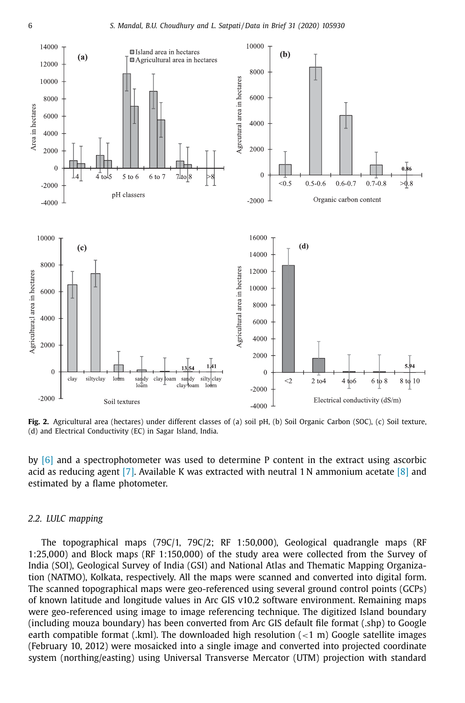

**Fig. 2.** Agricultural area (hectares) under different classes of (a) soil pH, (b) Soil Organic Carbon (SOC), (c) Soil texture, (d) and Electrical Conductivity (EC) in Sagar Island, India.

by [6] and a spectrophotometer was used to determine P content in the extract using ascorbic acid as reducing agent [7]. Available K was extracted with neutral 1 N ammonium acetate  $[8]$  and estimated by a flame photometer.

#### *2.2. LULC mapping*

The topographical maps (79C/1, 79C/2; RF 1:50,000), Geological quadrangle maps (RF 1:25,000) and Block maps (RF 1:150,000) of the study area were collected from the Survey of India (SOI), Geological Survey of India (GSI) and National Atlas and Thematic Mapping Organization (NATMO), Kolkata, respectively. All the maps were scanned and converted into digital form. The scanned topographical maps were geo-referenced using several ground control points (GCPs) of known latitude and longitude values in Arc GIS v10.2 software environment. Remaining maps were geo-referenced using image to image referencing technique. The digitized Island boundary (including mouza boundary) has been converted from Arc GIS default file format (.shp) to Google earth compatible format (.kml). The downloaded high resolution  $(<1$  m) Google satellite images (February 10, 2012) were mosaicked into a single image and converted into projected coordinate system (northing/easting) using Universal Transverse Mercator (UTM) projection with standard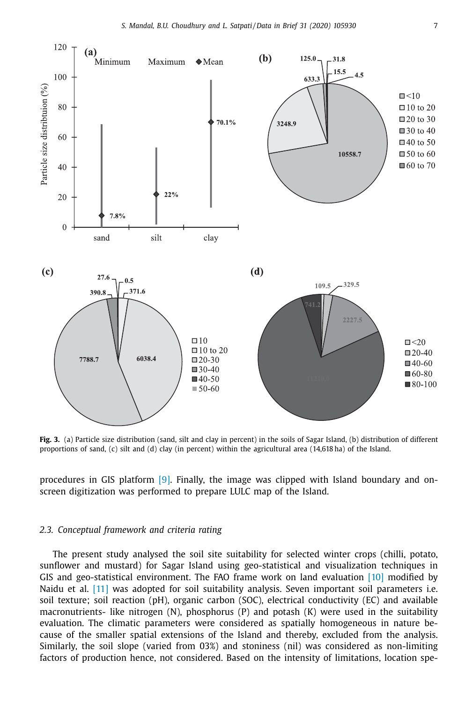

**Fig. 3.** (a) Particle size distribution (sand, silt and clay in percent) in the soils of Sagar Island, (b) distribution of different proportions of sand, (c) silt and (d) clay (in percent) within the agricultural area (14,618 ha) of the Island.

procedures in GIS platform [9]. Finally, the image was clipped with Island boundary and onscreen digitization was performed to prepare LULC map of the Island.

#### *2.3. Conceptual framework and criteria rating*

The present study analysed the soil site suitability for selected winter crops (chilli, potato, sunflower and mustard) for Sagar Island using geo-statistical and visualization techniques in GIS and geo-statistical environment. The FAO frame work on land evaluation [10] modified by Naidu et al. [11] was adopted for soil suitability analysis. Seven important soil parameters i.e. soil texture; soil reaction (pH), organic carbon (SOC), electrical conductivity (EC) and available macronutrients- like nitrogen  $(N)$ , phosphorus  $(P)$  and potash  $(K)$  were used in the suitability evaluation. The climatic parameters were considered as spatially homogeneous in nature because of the smaller spatial extensions of the Island and thereby, excluded from the analysis. Similarly, the soil slope (varied from 03%) and stoniness (nil) was considered as non-limiting factors of production hence, not considered. Based on the intensity of limitations, location spe-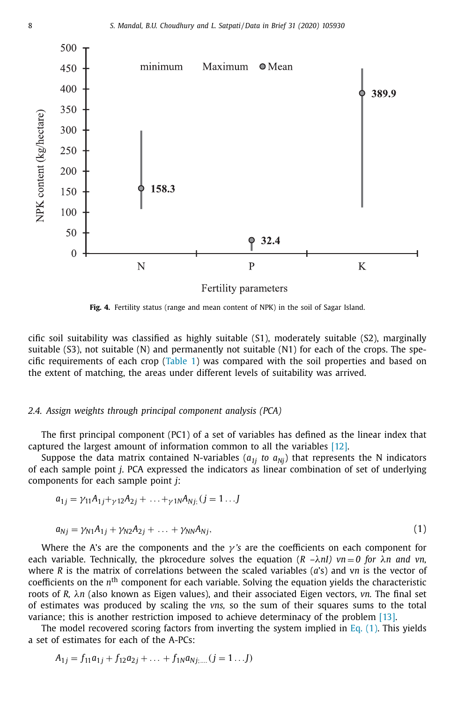

**Fig. 4.** Fertility status (range and mean content of NPK) in the soil of Sagar Island.

cific soil suitability was classified as highly suitable (S1), moderately suitable (S2), marginally suitable (S3), not suitable (N) and permanently not suitable (N1) for each of the crops. The specific requirements of each crop (Table 1) was compared with the soil properties and based on the extent of matching, the areas under different levels of suitability was arrived.

#### *2.4. Assign weights through principal component analysis (PCA)*

The first principal component (PC1) of a set of variables has defined as the linear index that captured the largest amount of information common to all the variables [12].

Suppose the data matrix contained N-variables  $(a_{1i}$  *to*  $a_{Ni}$  that represents the N indicators of each sample point *j*. PCA expressed the indicators as linear combination of set of underlying components for each sample point *j*:

$$
a_{1j} = \gamma_{11}A_{1j} + \gamma_{12}A_{2j} + \ldots + \gamma_{1N}A_{Nj}; (j = 1 \ldots J)
$$

$$
a_{Nj} = \gamma_{N1}A_{1j} + \gamma_{N2}A_{2j} + \ldots + \gamma_{NN}A_{Nj}, \qquad (1)
$$

Where the A's are the components and the  $\gamma$ 's are the coefficients on each component for each variable. Technically, the pkrocedure solves the equation  $(R - \lambda nI)$   $vn = 0$  for  $\lambda n$  and  $vn$ , where *R* is the matrix of correlations between the scaled variables (*a*'s) and v*n* is the vector of coefficients on the *n*<sup>th</sup> component for each variable. Solving the equation yields the characteristic roots of *R,* λ*n* (also known as Eigen values), and their associated Eigen vectors, *vn.* The final set of estimates was produced by scaling the *vns,* so the sum of their squares sums to the total variance; this is another restriction imposed to achieve determinacy of the problem [13].

The model recovered scoring factors from inverting the system implied in Eq.  $(1)$ . This yields a set of estimates for each of the A-PCs:

$$
A_{1j} = f_{11}a_{1j} + f_{12}a_{2j} + \dots + f_{1N}a_{Nj; \dots} (j = 1 \dots J)
$$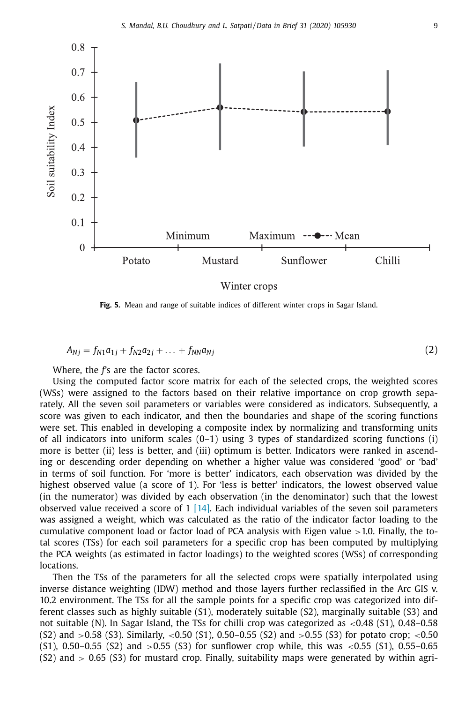

**Fig. 5.** Mean and range of suitable indices of different winter crops in Sagar Island.

$$
A_{Nj} = f_{N1}a_{1j} + f_{N2}a_{2j} + \dots + f_{NN}a_{Nj}
$$
 (2)

Where, the *f'*s are the factor scores.

Using the computed factor score matrix for each of the selected crops, the weighted scores (WSs) were assigned to the factors based on their relative importance on crop growth separately. All the seven soil parameters or variables were considered as indicators. Subsequently, a score was given to each indicator, and then the boundaries and shape of the scoring functions were set. This enabled in developing a composite index by normalizing and transforming units of all indicators into uniform scales  $(0-1)$  using 3 types of standardized scoring functions (i) more is better (ii) less is better, and (iii) optimum is better. Indicators were ranked in ascending or descending order depending on whether a higher value was considered 'good' or 'bad' in terms of soil function. For 'more is better' indicators, each observation was divided by the highest observed value (a score of 1). For 'less is better' indicators, the lowest observed value (in the numerator) was divided by each observation (in the denominator) such that the lowest observed value received a score of  $1 \, 14$ . Each individual variables of the seven soil parameters was assigned a weight, which was calculated as the ratio of the indicator factor loading to the cumulative component load or factor load of PCA analysis with Eigen value >1.0. Finally, the total scores (TSs) for each soil parameters for a specific crop has been computed by multiplying the PCA weights (as estimated in factor loadings) to the weighted scores (WSs) of corresponding locations.

Then the TSs of the parameters for all the selected crops were spatially interpolated using inverse distance weighting (IDW) method and those layers further reclassified in the Arc GIS v. 10.2 environment. The TSs for all the sample points for a specific crop was categorized into different classes such as highly suitable (S1), moderately suitable (S2), marginally suitable (S3) and not suitable (N). In Sagar Island, the TSs for chilli crop was categorized as <0.48 (S1), 0.48–0.58  $(S2)$  and  $>0.58$   $(S3)$ . Similarly,  $<0.50$   $(S1)$ ,  $0.50-0.55$   $(S2)$  and  $>0.55$   $(S3)$  for potato crop;  $<0.50$  $(51)$ , 0.50–0.55  $(52)$  and  $>0.55$   $(53)$  for sunflower crop while, this was  $<0.55$   $(51)$ , 0.55–0.65  $(S2)$  and  $> 0.65$   $(S3)$  for mustard crop. Finally, suitability maps were generated by within agri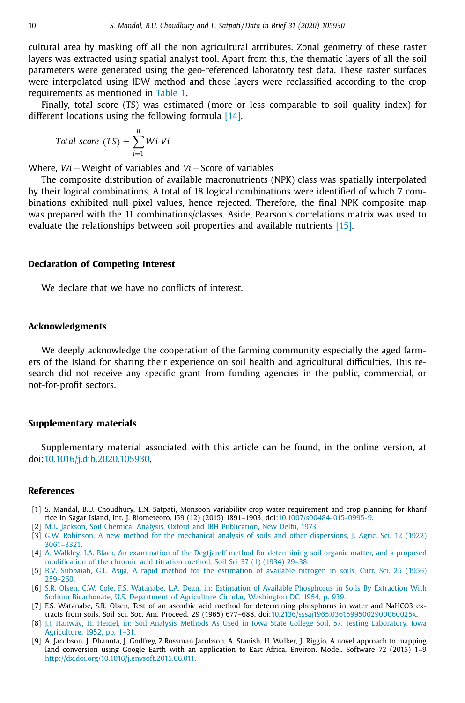cultural area by masking off all the non agricultural attributes. Zonal geometry of these raster layers was extracted using spatial analyst tool. Apart from this, the thematic layers of all the soil parameters were generated using the geo-referenced laboratory test data. These raster surfaces were interpolated using IDW method and those layers were reclassified according to the crop requirements as mentioned in Table 1.

Finally, total score (TS) was estimated (more or less comparable to soil quality index) for different locations using the following formula [14].

$$
Total score (TS) = \sum_{i=1}^{n} Wi Vi
$$

Where,  $Wi = Weight$  of variables and  $Vi = Score$  of variables

The composite distribution of available macronutrients (NPK) class was spatially interpolated by their logical combinations. A total of 18 logical combinations were identified of which 7 combinations exhibited null pixel values, hence rejected. Therefore, the final NPK composite map was prepared with the 11 combinations/classes. Aside, Pearson's correlations matrix was used to evaluate the relationships between soil properties and available nutrients [15].

#### **Declaration of Competing Interest**

We declare that we have no conflicts of interest.

#### **Acknowledgments**

We deeply acknowledge the cooperation of the farming community especially the aged farmers of the Island for sharing their experience on soil health and agricultural difficulties. This research did not receive any specific grant from funding agencies in the public, commercial, or not-for-profit sectors.

#### **Supplementary materials**

Supplementary material associated with this article can be found, in the online version, at doi:10.1016/j.dib.2020.105930.

#### **References**

- [1] S. Mandal, B.U. Choudhury, L.N. Satpati, Monsoon variability crop water requirement and crop planning for kharif rice in Sagar Island, Int. J. Biometeoro. l59 (12) (2015) 1891–1903, doi:10.1007/s00484-015-0995-9.
- [2] M.L. Jackson, Soil Chemical Analysis, Oxford and IBH Publication, New Delhi, 1973.
- [3] G.W. Robinson, A new method for the mechanical analysis of soils and other dispersions, J. Agric. Sci. 12 (1922) 3061–3321.
- [4] A. Walkley, I.A. Black, An examination of the Degtjareff method for determining soil organic matter, and a proposed modification of the chromic acid titration method, Soil Sci 37 (1) (1934) 29–38.
- [5] B.V. Subbaiah, G.L. Asija, A rapid method for the estimation of available nitrogen in soils, Curr. Sci. 25 (1956) 259–260.
- [6] S.R. Olsen, C.W. Cole, F.S. Watanabe, L.A. Dean, in: Estimation of Available Phosphorus in Soils By Extraction With Sodium Bicarbonate, U.S. Department of Agriculture Circular, Washington DC, 1954, p. 939.
- [7] F.S. Watanabe, S.R. Olsen, Test of an ascorbic acid method for determining phosphorus in water and NaHCO3 extracts from soils, Soil Sci. Soc. Am. Proceed. 29 (1965) 677–688, doi:10.2136/sssaj1965.03615995002900060025x.
- [8] J.J. Hanway, H. Heidel, in: Soil Analysis Methods As Used in Iowa State College Soil, 57, Testing Laboratory. Iowa Agriculture, 1952, pp. 1–31.
- [9] A. Jacobson, J. Dhanota, J. Godfrey, Z.Rossman Jacobson, A. Stanish, H. Walker, J. Riggio, A novel approach to mapping land conversion using Google Earth with an application to East Africa, Environ. Model. Software 72 (2015) 1–9 http://dx.doi.org/10.1016/j.envsoft.2015.06.011.